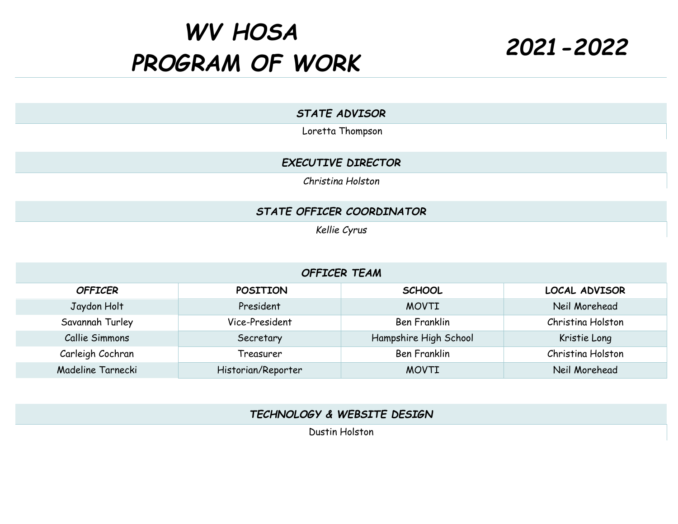## *WV HOSA PROGRAM OF WORK 2021-2022*

*STATE ADVISOR*

Loretta Thompson

## *EXECUTIVE DIRECTOR*

*Christina Holston*

## *STATE OFFICER COORDINATOR*

*Kellie Cyrus*

## *OFFICER TEAM*

| <b>OFFICER</b>    | <b>POSITION</b>    | <b>SCHOOL</b>         | <b>LOCAL ADVISOR</b> |
|-------------------|--------------------|-----------------------|----------------------|
| Jaydon Holt       | President          | <b>MOVTI</b>          | Neil Morehead        |
| Savannah Turley   | Vice-President     | <b>Ben Franklin</b>   | Christina Holston    |
| Callie Simmons    | Secretary          | Hampshire High School | Kristie Long         |
| Carleigh Cochran  | Treasurer          | <b>Ben Franklin</b>   | Christina Holston    |
| Madeline Tarnecki | Historian/Reporter | <b>MOVTI</b>          | Neil Morehead        |

*TECHNOLOGY & WEBSITE DESIGN*

Dustin Holston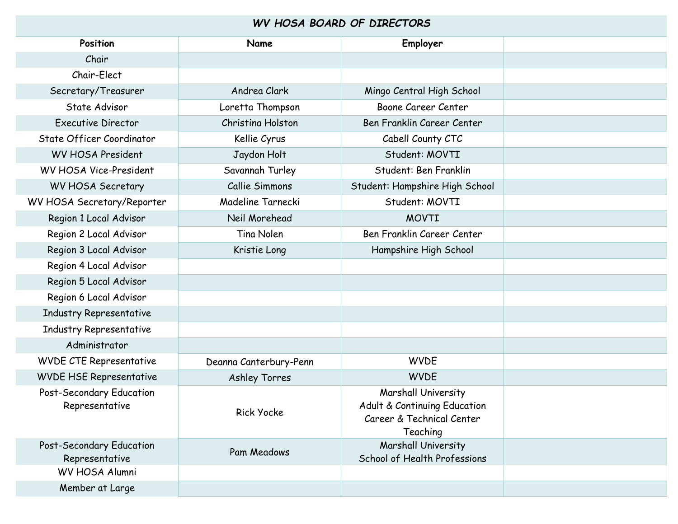|  |  |  | WV HOSA BOARD OF DIRECTORS |  |
|--|--|--|----------------------------|--|
|--|--|--|----------------------------|--|

| Position                                   | Name                   | Employer                                                                                     |  |  |  |
|--------------------------------------------|------------------------|----------------------------------------------------------------------------------------------|--|--|--|
| Chair                                      |                        |                                                                                              |  |  |  |
| Chair-Elect                                |                        |                                                                                              |  |  |  |
| Secretary/Treasurer                        | Andrea Clark           | Mingo Central High School                                                                    |  |  |  |
| State Advisor                              | Loretta Thompson       | Boone Career Center                                                                          |  |  |  |
| <b>Executive Director</b>                  | Christina Holston      | Ben Franklin Career Center                                                                   |  |  |  |
| State Officer Coordinator                  | Kellie Cyrus           | Cabell County CTC                                                                            |  |  |  |
| <b>WV HOSA President</b>                   | Jaydon Holt            | Student: MOVTI                                                                               |  |  |  |
| WV HOSA Vice-President                     | Savannah Turley        | Student: Ben Franklin                                                                        |  |  |  |
| WV HOSA Secretary                          | Callie Simmons         | Student: Hampshire High School                                                               |  |  |  |
| WV HOSA Secretary/Reporter                 | Madeline Tarnecki      | Student: MOVTI                                                                               |  |  |  |
| Region 1 Local Advisor                     | Neil Morehead          | <b>MOVTI</b>                                                                                 |  |  |  |
| Region 2 Local Advisor                     | Tina Nolen             | Ben Franklin Career Center                                                                   |  |  |  |
| Region 3 Local Advisor                     | Kristie Long           | Hampshire High School                                                                        |  |  |  |
| Region 4 Local Advisor                     |                        |                                                                                              |  |  |  |
| Region 5 Local Advisor                     |                        |                                                                                              |  |  |  |
| Region 6 Local Advisor                     |                        |                                                                                              |  |  |  |
| Industry Representative                    |                        |                                                                                              |  |  |  |
| Industry Representative                    |                        |                                                                                              |  |  |  |
| Administrator                              |                        |                                                                                              |  |  |  |
| <b>WVDE CTE Representative</b>             | Deanna Canterbury-Penn | <b>WVDE</b>                                                                                  |  |  |  |
| <b>WVDE HSE Representative</b>             | <b>Ashley Torres</b>   | <b>WVDE</b>                                                                                  |  |  |  |
| Post-Secondary Education<br>Representative | <b>Rick Yocke</b>      | Marshall University<br>Adult & Continuing Education<br>Career & Technical Center<br>Teaching |  |  |  |
| Post-Secondary Education<br>Representative | Pam Meadows            | Marshall University<br>School of Health Professions                                          |  |  |  |
| WV HOSA Alumni                             |                        |                                                                                              |  |  |  |
| Member at Large                            |                        |                                                                                              |  |  |  |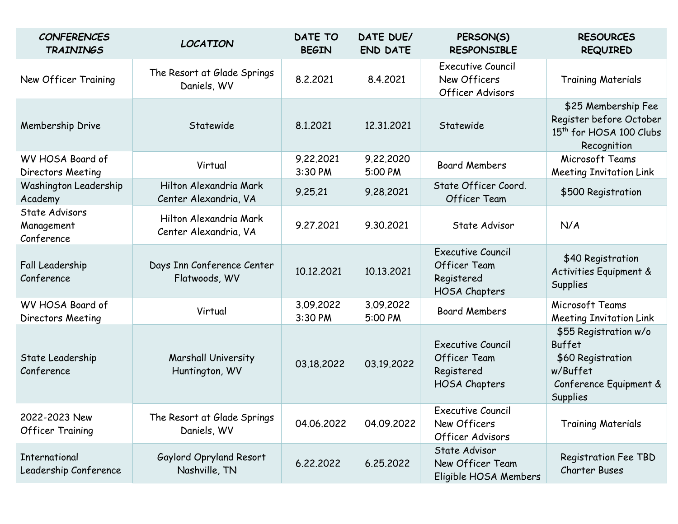| <b>CONFERENCES</b><br><b>TRAININGS</b>        | <b>LOCATION</b>                                 | <b>DATE TO</b><br><b>BEGIN</b> | DATE DUE/<br><b>END DATE</b> | PERSON(S)<br><b>RESPONSIBLE</b>                                                | <b>RESOURCES</b><br><b>REQUIRED</b>                                                                           |
|-----------------------------------------------|-------------------------------------------------|--------------------------------|------------------------------|--------------------------------------------------------------------------------|---------------------------------------------------------------------------------------------------------------|
| New Officer Training                          | The Resort at Glade Springs<br>Daniels, WV      | 8.2.2021                       | 8.4.2021                     | <b>Executive Council</b><br>New Officers<br>Officer Advisors                   | <b>Training Materials</b>                                                                                     |
| Membership Drive                              | Statewide                                       | 8.1.2021                       | 12,31,2021                   | Statewide                                                                      | \$25 Membership Fee<br>Register before October<br>15 <sup>th</sup> for HOSA 100 Clubs<br>Recognition          |
| WV HOSA Board of<br>Directors Meeting         | Virtual                                         | 9.22.2021<br>3:30 PM           | 9.22.2020<br>5:00 PM         | <b>Board Members</b>                                                           | Microsoft Teams<br><b>Meeting Invitation Link</b>                                                             |
| Washington Leadership<br>Academy              | Hilton Alexandria Mark<br>Center Alexandria, VA | 9.25.21                        | 9.28.2021                    | State Officer Coord.<br><b>Officer Team</b>                                    | \$500 Registration                                                                                            |
| State Advisors<br>Management<br>Conference    | Hilton Alexandria Mark<br>Center Alexandria, VA | 9.27.2021                      | 9.30.2021                    | State Advisor                                                                  | N/A                                                                                                           |
| Fall Leadership<br>Conference                 | Days Inn Conference Center<br>Flatwoods, WV     | 10.12.2021                     | 10.13.2021                   | <b>Executive Council</b><br><b>Officer Team</b><br>Registered<br>HOSA Chapters | \$40 Registration<br>Activities Equipment &<br><b>Supplies</b>                                                |
| WV HOSA Board of<br>Directors Meeting         | Virtual                                         | 3.09.2022<br>3:30 PM           | 3.09.2022<br>5:00 PM         | <b>Board Members</b>                                                           | Microsoft Teams<br><b>Meeting Invitation Link</b>                                                             |
| State Leadership<br>Conference                | Marshall University<br>Huntington, WV           | 03.18.2022                     | 03.19.2022                   | <b>Executive Council</b><br><b>Officer Team</b><br>Registered<br>HOSA Chapters | \$55 Registration w/o<br>Buffet<br>\$60 Registration<br>w/Buffet<br>Conference Equipment &<br><b>Supplies</b> |
| 2022-2023 New<br><b>Officer Training</b>      | The Resort at Glade Springs<br>Daniels, WV      | 04.06.2022                     | 04.09.2022                   | Executive Council<br>New Officers<br>Officer Advisors                          | <b>Training Materials</b>                                                                                     |
| <b>International</b><br>Leadership Conference | Gaylord Opryland Resort<br>Nashville, TN        | 6.22.2022                      | 6.25.2022                    | State Advisor<br>New Officer Team<br>Eligible HOSA Members                     | <b>Registration Fee TBD</b><br><b>Charter Buses</b>                                                           |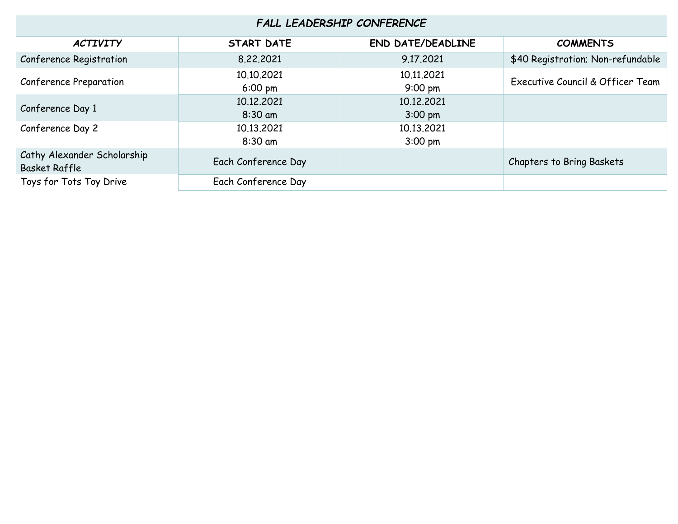| FALL LEADERSHIP CONFERENCE                          |                                 |                                 |                                   |  |
|-----------------------------------------------------|---------------------------------|---------------------------------|-----------------------------------|--|
| <b>ACTIVITY</b>                                     | <b>START DATE</b>               | <b>END DATE/DEADLINE</b>        | <b>COMMENTS</b>                   |  |
| Conference Registration                             | 8.22.2021                       | 9.17.2021                       | \$40 Registration; Non-refundable |  |
| Conference Preparation                              | 10.10.2021<br>$6:00 \text{ pm}$ | 10.11.2021<br>$9:00 \text{ pm}$ | Executive Council & Officer Team  |  |
| Conference Day 1                                    | 10.12.2021<br>$8:30$ am         | 10.12.2021<br>$3:00 \text{ pm}$ |                                   |  |
| Conference Day 2                                    | 10.13.2021<br>$8:30$ am         | 10.13.2021<br>$3:00$ pm         |                                   |  |
| Cathy Alexander Scholarship<br><b>Basket Raffle</b> | Each Conference Day             |                                 | <b>Chapters to Bring Baskets</b>  |  |
| Toys for Tots Toy Drive                             | Each Conference Day             |                                 |                                   |  |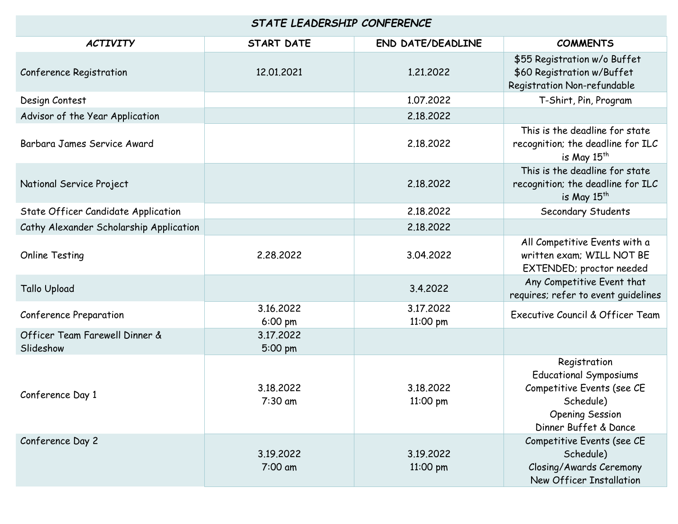| STATE LEADERSHIP CONFERENCE                 |                      |                          |                                                                                                                                             |  |
|---------------------------------------------|----------------------|--------------------------|---------------------------------------------------------------------------------------------------------------------------------------------|--|
| <b>ACTIVITY</b>                             | <b>START DATE</b>    | <b>END DATE/DEADLINE</b> | <b>COMMENTS</b>                                                                                                                             |  |
| Conference Registration                     | 12.01.2021           | 1,21,2022                | \$55 Registration w/o Buffet<br>\$60 Registration w/Buffet<br>Registration Non-refundable                                                   |  |
| Design Contest                              |                      | 1,07,2022                | T-Shirt, Pin, Program                                                                                                                       |  |
| Advisor of the Year Application             |                      | 2.18.2022                |                                                                                                                                             |  |
| Barbara James Service Award                 |                      | 2.18.2022                | This is the deadline for state<br>recognition; the deadline for ILC<br>is May $15^{th}$                                                     |  |
| National Service Project                    |                      | 2.18.2022                | This is the deadline for state<br>recognition; the deadline for ILC<br>is May $15^{th}$                                                     |  |
| State Officer Candidate Application         |                      | 2.18.2022                | Secondary Students                                                                                                                          |  |
| Cathy Alexander Scholarship Application     |                      | 2.18.2022                |                                                                                                                                             |  |
| <b>Online Testing</b>                       | 2,28,2022            | 3.04.2022                | All Competitive Events with a<br>written exam; WILL NOT BE<br>EXTENDED; proctor needed                                                      |  |
| <b>Tallo Upload</b>                         |                      | 3.4.2022                 | Any Competitive Event that<br>requires; refer to event guidelines                                                                           |  |
| <b>Conference Preparation</b>               | 3.16.2022<br>6:00 pm | 3.17.2022<br>11:00 pm    | Executive Council & Officer Team                                                                                                            |  |
| Officer Team Farewell Dinner &<br>Slideshow | 3.17.2022<br>5:00 pm |                          |                                                                                                                                             |  |
| Conference Day 1                            | 3.18.2022<br>7:30 am | 3.18.2022<br>11:00 pm    | Registration<br><b>Educational Symposiums</b><br>Competitive Events (see CE<br>Schedule)<br><b>Opening Session</b><br>Dinner Buffet & Dance |  |
| Conference Day 2                            | 3.19.2022<br>7:00 am | 3.19.2022<br>11:00 pm    | Competitive Events (see CE<br>Schedule)<br>Closing/Awards Ceremony<br>New Officer Installation                                              |  |